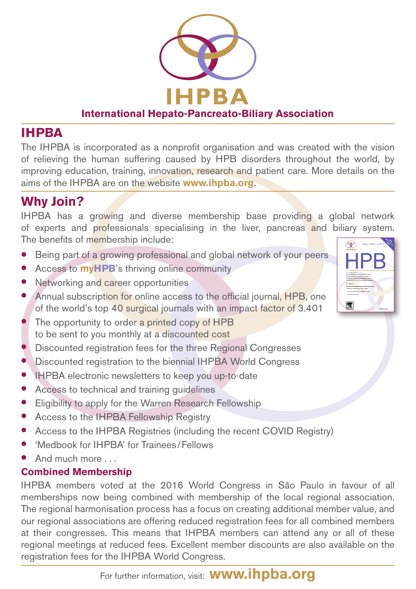

#### **International Hepato-Pancreato-Biliary Association**

### **IHPBA**

The IHPBA is incorporated as a nonprofit organisation and was created with the vision of relieving the human suffering caused by HPB disorders throughout the world, by improving education, training, innovation, research and patient care. More details on the aims of the IHPBA are on the website **www.ihpba.org**.

## **Why Join?**

IHPBA has a growing and diverse membership base providing a global network of experts and professionals specialising in the liver, pancreas and biliary system. The benefits of membership include:

霽

- Being part of a growing professional and global network of your peers
- **•** Access to **myHPB**'s thriving online community
- Networking and career opportunities
- Annual subscription for online access to the official journal, HPB, one of the world's top 40 surgical journals with an impact factor of 3.401
- The opportunity to order a printed copy of HPB to be sent to you monthly at a discounted cost
- Discounted registration fees for the three Regional Congresses
- Discounted registration to the biennial IHPBA World Congress
- IHPBA electronic newsletters to keep you up-to-date
- Access to technical and training guidelines
- Eligibility to apply for the Warren Research Fellowship
- Access to the IHPBA Fellowship Registry
- Access to the IHPBA Registries (including the recent COVID Registry)
- 'Medbook for IHPBA' for Trainees/Fellows
- And much more

#### **Combined Membership**

IHPBA members voted at the 2016 World Congress in São Paulo in favour of all memberships now being combined with membership of the local regional association. The regional harmonisation process has a focus on creating additional member value, and our regional associations are offering reduced registration fees for all combined members at their congresses. This means that IHPBA members can attend any or all of these regional meetings at reduced fees. Excellent member discounts are also available on the registration fees for the IHPBA World Congress.

For further information, visit: **www.ihpba.org**